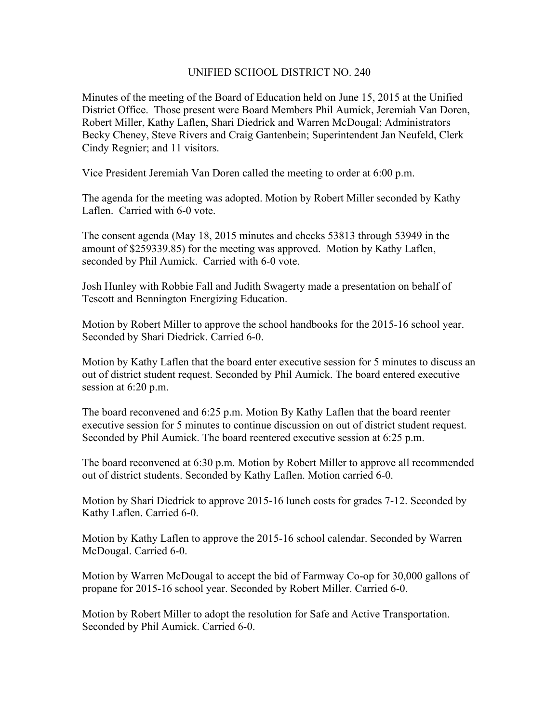## UNIFIED SCHOOL DISTRICT NO. 240

Minutes of the meeting of the Board of Education held on June 15, 2015 at the Unified District Office. Those present were Board Members Phil Aumick, Jeremiah Van Doren, Robert Miller, Kathy Laflen, Shari Diedrick and Warren McDougal; Administrators Becky Cheney, Steve Rivers and Craig Gantenbein; Superintendent Jan Neufeld, Clerk Cindy Regnier; and 11 visitors.

Vice President Jeremiah Van Doren called the meeting to order at 6:00 p.m.

The agenda for the meeting was adopted. Motion by Robert Miller seconded by Kathy Laflen. Carried with 6-0 vote.

The consent agenda (May 18, 2015 minutes and checks 53813 through 53949 in the amount of \$259339.85) for the meeting was approved. Motion by Kathy Laflen, seconded by Phil Aumick. Carried with 6-0 vote.

Josh Hunley with Robbie Fall and Judith Swagerty made a presentation on behalf of Tescott and Bennington Energizing Education.

Motion by Robert Miller to approve the school handbooks for the 2015-16 school year. Seconded by Shari Diedrick. Carried 6-0.

Motion by Kathy Laflen that the board enter executive session for 5 minutes to discuss an out of district student request. Seconded by Phil Aumick. The board entered executive session at 6:20 p.m.

The board reconvened and 6:25 p.m. Motion By Kathy Laflen that the board reenter executive session for 5 minutes to continue discussion on out of district student request. Seconded by Phil Aumick. The board reentered executive session at 6:25 p.m.

The board reconvened at 6:30 p.m. Motion by Robert Miller to approve all recommended out of district students. Seconded by Kathy Laflen. Motion carried 6-0.

Motion by Shari Diedrick to approve 2015-16 lunch costs for grades 7-12. Seconded by Kathy Laflen. Carried 6-0.

Motion by Kathy Laflen to approve the 2015-16 school calendar. Seconded by Warren McDougal. Carried 6-0.

Motion by Warren McDougal to accept the bid of Farmway Co-op for 30,000 gallons of propane for 2015-16 school year. Seconded by Robert Miller. Carried 6-0.

Motion by Robert Miller to adopt the resolution for Safe and Active Transportation. Seconded by Phil Aumick. Carried 6-0.